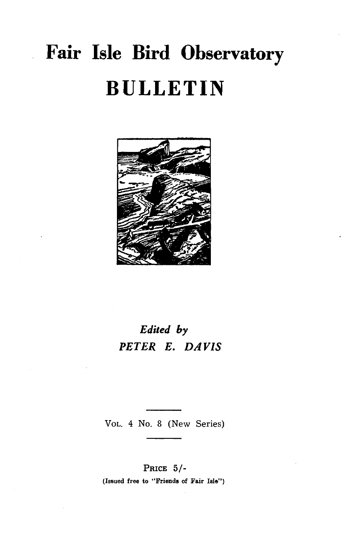# **Fair Isle Bird Observatory BULLETIN**



### *Edited by PETER E. DAVIS*

VOL. 4 No. 8 (New Series)

PRICE 5/- (Issued free to "Friends of Fair Isle")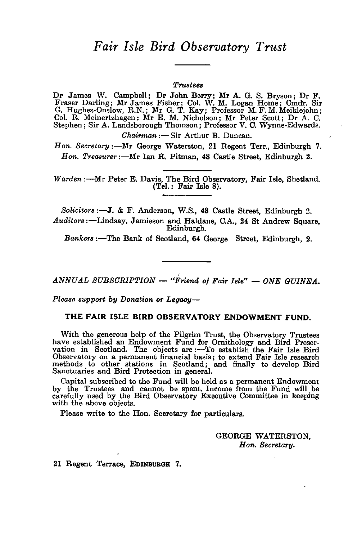### *Fair Isle Bird Observatory Trust*

#### $$

Dr James W. Campbell; Dr John Berry; Mr A. G. S. Bryson; Dr F. Fraser Darling; Mr James Fisher; Col. W. M. Logan Home; Cmdr. Sir G. Hughes-Onslow, R.N.; Mr G. T. Ray; Professor M. F. M. Meiklejohn; Col. R. Meinertzhagen; Mr E. M. Nicholson; Mr Peter Scott; Dr A. C. Stephen; Sir A. Landsborough Thomson; Professor V. C. Wynne-Edwards.

*Chairman* :- Sir Arthur B. Duncan.

*Hon. Secretary:-Mr* George Waterston, 21 Regent Terr., Edinburgh 7. *Hon. Treasurer* :- Mr Ian R. Pitman, 48 Castle Street, Edinburgh 2.

*Warden* :- Mr Peter E. Davis, The Bird Observatory, Fair Isle, Shetland. (Tel.: Fair Isle 8).

*Solicitors* :-J. & F. Anderson, W.S., 48 Castle Street, Edinburgh 2. *Auditors* :-Lindsay, Jamieson and Haldane, C.A., 24 St Andrew Square, Edinburgh.

Bankers :- The Bank of Scotland, 64 George Street, Edinburgh, 2.

*ANNUAL SUBSCRIPTION* - "Friend of Fair Isle" - ONE GUINEA.

*Please support by Donation or Legacy-*

#### THE FAIR ISLE BIRD OBSERVATORY ENDOWMENT FUND.

With the generous help of the Pilgrim Trust, the Observatory Trustees have established an Endowment Fund for Ornithology and Bird Preser-<br>vation in Scotland. The objects are :—To establish the Fair Isle Bird Observatory on a permanent financial basis; to extend Fair Isle research methods to other stations in Scotland; and finally to develop Bird Sanctuaries and Bird Protection in general.

Capital subscribed to the Fund will be held as a permanent Endowment by the Trustees and cannot be spent. Income from the Fund will be carefully used by the Bird Observatory Executive Committee in keeping with the above objects.

Please write to the Hon. Secretary for particulars.

GEORGE WATERSTON, *Hon. Secretary.* 

21 Regent Terrace, EDINBURGH 7.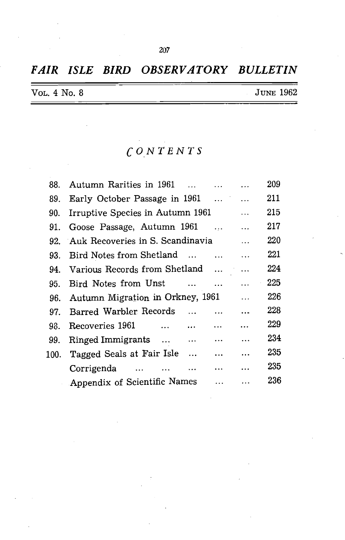### *FAIR ISLE BIRD OBSERVATORY BULLETIN*

| VOL. 4 No. 8 | <b>JUNE 1962</b> |
|--------------|------------------|
|              |                  |

### *CONTENTS*

| 88. | Autumn Rarities in 1961                                      | 209 |
|-----|--------------------------------------------------------------|-----|
| 89. | Early October Passage in 1961                                | 211 |
| 90. | Irruptive Species in Autumn 1961<br><b>Contract Contract</b> | 215 |
| 91. | Goose Passage, Autumn 1961                                   | 217 |
| 92. | Auk Recoveries in S. Scandinavia Fig. 4.1.                   | 220 |
| 93. | Bird Notes from Shetland                                     | 221 |
|     | 94. Various Records from Shetland                            | 224 |
| 95. | Bird Notes from Unst                                         | 225 |
| 96. | Autumn Migration in Orkney, 1961                             | 226 |
| 97. | Barred Warbler Records                                       | 228 |
| 98. | Recoveries 1961                                              | 229 |
| 99. | Ringed Immigrants<br>$\ddotsc$                               | 234 |
|     | 100. Tagged Seals at Fair Isle                               | 235 |
|     | Corrigenda                                                   | 235 |
|     | Appendix of Scientific Names<br>$\ddotsc$                    | 236 |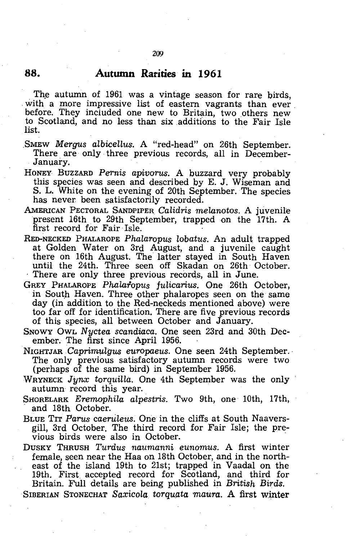#### **88. Autumn Rarities in 1961**

The autumn of 1961 was a vintage season for rare birds, with a more impressive list of eastern vagrants than ever before. They included one new to Britain, two others new to Scotland, and no less than six additions to the Fair Isle list.

SMEW *Mergus albicellus*. A "red-head" on 26th September. There are only three previous records, all in December-January.

- HONEY BUZZARD *Pernis apivorus.* A buzzard very probably this species was seen and described by E. J. Wiseman and S. L. White on the evening of 20th September. The species has never been satisfactorily recorded.
- AMERICAN PECTORAL SANDPIPER *Calidris melanotos*. A juvenile present 16th to 29th September, trapped on the 17th. A first record for Fair Isle.
- RED-NECKED PHALAROPE *Phalaropus lobatus*. An adult trapped at Golden Water on 3rd August, and a juvenile caught there on 16th August. The latter stayed in South Haven until the 24th. Three seen off Skadan on 26th October. There are only three previous records, all in June.
- GREY PHALAROPE Phalaropus fulicarius. One 26th October, in South Haven. Three other phalaropes seen on the same day (in addition to the Red-neckeds mentioned above) were too far off for identification. There are five previous records of this species, all between October and January.
- SNOWY OWL *Nyctea scandiaca.* One seen 23rd and 30th December. The first since April 1956.
- NIGHTJAR *Caprimulgus europaeus*. One seen 24th September. The only previous satisfactory autumn records were two (perhaps of the same bird) in September 1956.
- WRYNECK Jynx torquilla. One 4th September was the only autumn record this year.
- SHORELARK *Eremophila alpestris*. Two 9th, one 10th, 17th, and 18th October.
- BLUE TIT Parus caeruleus. One in the cliffs at South Naaversgill, 3rd October. The third record for Fair Isle; the previous birds were also in October.

DUSKY THRUSH *Turdus naumanni eunomus.* A first winter female, seen near the Haa on 18th October, and in the northeast of the island 19th to 21st; trapped in Vaadal on the 19th. First, accepted record for Scotland, and third for Britain. Full details are being published in *British Birds.* 

SIBERIAN STONECHAT *Saxicola torquata maura*. A first winter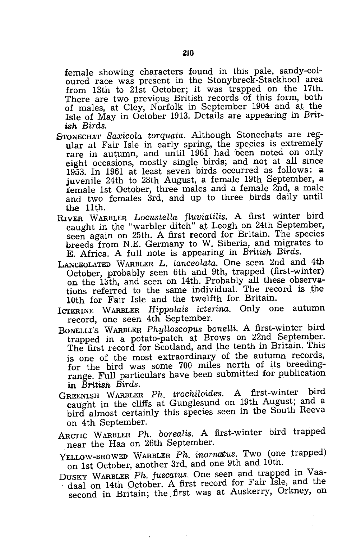female showing characters found in this pale, sandy-coloured race was present in the Stonybreck-Stackhool area from 13th to 21st October; it was trapped on the 17th. There are two previous British records of this form, both of males, at Cley, Norfolk in September 1904 and at the Isle of May in October 1913. Details are appearing in *British Birds.* 

- STONECHAT *Saxicola torquata.* Although Stonechats are regular at Fair Isle in early spring, the species is extremely rare in autumn, and until 1961 had been noted on only eight occasions, mostly single birds; and not at all since 1953. In 1961 at least seven birds occurred as follows: a juvenile 24th to 28th August, a female 19th September, a female 1st October, three males and a female 2nd, a male and two females 3rd, and up to three birds daily until the 11th.
- RIvER WARBLER *LocusteHa ftuviatiLis.* A first winter bird caught in the "warbler ditch" at Leogh on 24th September, seen again on 25th. A first record for Britain. The species breeds from N.E. Germany to W. Siberia, and migrates to E. Africa. A full note is appearing in *British Birds.*
- LANCEOLATED WARBLER L. *lanceolata.* One seen 2nd and 4th October, probably seen 6th and 9th, trapped (first-winter) on the 13th, and seen on 14th. Probably all these observations referred to the same individual. The record is the 10th for Fair Isle and the twelfth for Britain.
- ICTERINE WARBLER *Hippolais icterina*. Only one autumn record, one seen 4th September.
- BONELLI'S WARBLER *PhyUoscopus boneHi.* A first-winter bird trapped in a potato-patch at Brows on 22nd September. The first record for Scotland, and the tenth in Britain. This is one of the most extraordinary of the autumn records, for the bird was some 700 miles north of its breedingrange. Full particulars have been submitted for publication in *British Birds.*
- GREENISH WARBLER *Ph. trochitoides.* A first-winter bird caught in the cliffs at Gunglesund on 19th August; and a bird almost certainly this species seen in the South Reeva on 4th September.
- ARCTIC WARBLER *Ph. boreatis.* A first-winter bird trapped near the Haa on 26th September.
- YELLOW-BROWED WARBLER Ph. inornatus. Two (one trapped)
- on 1st October, another 3rd, and one 9th and 10th.<br>DUSKY WARBLER *Fh. fuscatus*. One seen and trapped in Vaadaal on 14th October. A first record for Fair Isle, and the second in Britain; the. first was at Auskerry, Orkney, on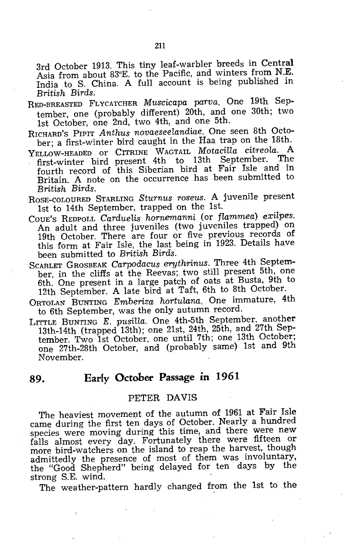3rd October 1913. This tiny leaf-warbler breeds in Central Asia from about 83°E. to the Pacific, and winters from N.E. India to S. China. A full account is being published in *British Birds.* 

- RED-BREASTED FLYCATCHER *Muscicapa parva.* One 19th September, one (probably different) 20th, and one 30th; two 1st October, one 2nd, two 4th, and one 5th.
- RICHARD'S PIPIT *Anthus novaeseelandiae.* One seen 8th Octo~ ber; a first-winter bird caught in the Haa trap on the 18th.
- YELLOW-HEADED or CITRINE WAGTAIL *MotaciUa citreola.* A first-winter bird present 4th to 13th September. The fourth record of this Siberian bird at Fair Isle and in Britain. A note on the occurrence has. been submitted to *British Birds.*
- ROSE-COLOURED STARLING *Sturnus roseus.* A juvenile present 1st to 14th September, trapped on the 1st.
- COUE'S REDPOLL *Carduelis hornemanni* (or *flammea) exilpes.*  An adult and three juveniles (two juveniles trapped) on 19th October. There are four or five previous records of this form at Fair Isle, the last being in 1923. Details have been submitted to *British Birds.*
- SCARLET GROSBEAK *Carpodacus erythrinus.* Three 4th September, in the cliffs at the Reevas; two still present 5th, one 6th. One present in a large patch of oats at Busta, 9th to 12th September. A late bird at Taft, 6th to 8th October.
- ORTOLAN BUNTING *Emberiza hortulana.* One immature, 4th to 6th September, was the only autumn record.
- LITTLE BUNTING *E. pusilla.* One 4th-5th September, another 13th-14th (trapped 13th); one 21st, 24th, 25th, and 27th September. Two 1st October, one until 7th; one 13th October; one 27th-28th October, and (probably same) 1st and 9th November.

#### **89. Early October Passage in 1961**

#### PETER DAVIS

The heaviest movement of the autumn of 1961 at Fair Isle came during the first ten days of October. Nearly a hundred species were moving during this time, and there were new falls almost every day. Fortunately there were fifteen or more bird-watchers on the island to reap the harvest, though admittedly the presence of most of them was involuntary, the "Good Shepherd" being delayed for ten days by the strong S.E. wind.

The weather-pattern hardly changed from the 1st to the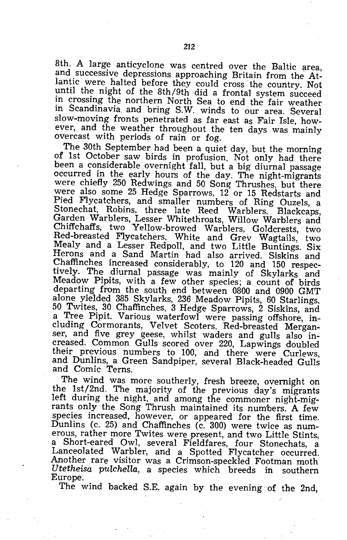8th. A large anticyclone was centred over the Baltic area, and successive depressions approaching Britain from the Atlantic were halted before they could cross the country. Not until the night of the 8th/9th did a frontal system succeed in crossing the northern North Sea to end the fair weather in Scandinavia and bring S.W. winds to our area. Several slow-moving fronts penetrated as far east as Fair Isle, however, and the weather throughout the ten days was mainly overcast with periods of rain or fog.

The 30th September had been a quiet day, but the morning of 1st October saw birds in profusion. Not only had there been a considerable overnight fall, but a big diurnal passage occurred in the early hours of the day. The night-migrants were chiefly 250 Redwings and 50 Song Thrushes, but there were also some 25 Hedge Sparrows, 12 or 15 Redstarts and Pied Flycatchers, and smaller numbers of Ring Ouzels, a Stonechat, Robins, three late Reed Warblers, Blackcaps, Garden Warblers, Lesser Whitethroats, Willow Warblers and Chiffchaffs, two Yellow-browed Warblers, Goldcrests, two Red-breasted Flycatchers. White and Grey Wagtails, two Mealy and a Lesser Redpoll, and two Little Buntings. Six Herons and a Sand Martin had also arrived. Siskins and Chaffinches increased considerably, to 120 and 150 respectively. The diurnal passage was mainly of Skylarks and Meadow Pipits, with a few other species; a count of birds departing from the south end between 0800 and 0900 GMT alone yielded 385 Skylarks, 236 Meadow Pipits, 60 Starlings. 50 Twites, 30 Chaffinches, 3 Hedge Sparrows, 2 Siskins, and a Tree Pipit. Various waterfowl were passing offshore, including Cormorants, Velvet Scoters, Red-breasted Merganser, and five grey geese, whilst waders and gulls also increased. Common Gulls scored over 220, Lapwings doubled their previous numbers to 100, and there were Curlews, and Dunlins, a Green Sandpiper, several Black-headed Gulls and Comic Terns.

The wind was more southerly, fresh breeze, overnight on the 1st/2nd. The majority of the previous day's migrants left during the night, and among the commoner night-migrants only the Song Thrush maintained its numbers. A few species increased, however, or appeared for the first time. Dunlins (c. 25) and Chaffinches (c. 300) were twice as numerous, rather more Twites were present, and two Little Stints, a Short-eared Owl, several Fieldfares, four Stonechats, a Lanceolated Warbler, and a Spotted Flycatcher occurred. Another rare visitor was a Crimson-speckled Footman moth Utetheisa pulchella, a species which breeds in southern *Utetheisa pulchella*, a species which breeds in Europe.

The wind backed S.E. again by the evening of the 2nd,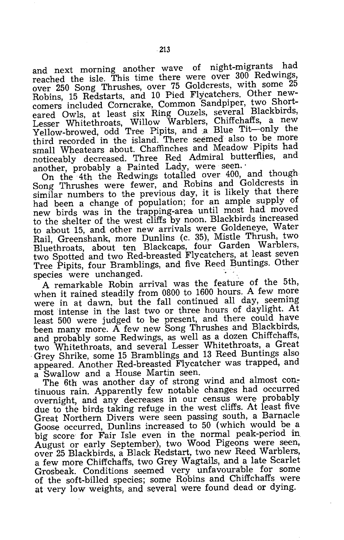and next morning another wave of night-migrants had reached the isle. This time there were over 300 Redwings, over 250 Song Thrushes, over 75 Goldcrests, with some 25 Robins, 15 Redstarts, and 10 Pied Flycatchers. Other newcomers included Corncrake, Common Sandpiper, two Shorteared Owls, at least six Ring Ouzels, several Blackbirds, Lesser Whitethroats, Willow Warblers, Chiffchaffs, a new Yellow-browed, odd Tree Pipits, and a Blue Tit-only the third recorded in the island. There seemed also to be more small Wheatears about. Chaffinches and Meadow Pipits had noticeably decreased. Three Red Admiral butterflies, and another, probably a Painted Lady, were seen.'

On the 4th the Redwings totalled over 400, and though Song Thrushes were fewer, and Robins and Goldcrests in similar numbers to the previous day, it is likely that there had been a change of population; for an ample supply of new birds was in the trapping-area, until most had moved to the shelter of the west cliffs by noon. Blackbirds increased to about 15, and other new arrivals were Goldeneye, Water Rail, Greenshank, more Dunlins (c. 35), Mistle Thrush, two Bluethroats, about ten Blackcaps, four Garden Warblers, two Spotted and two Red-breasted Flycatchers, at least seven Tree Pipits, four Bramblings, and five Reed Buntings. Other species were unchanged.

A remarkable Robin arrival was the feature of the 5th, when it rained steadily from 0800 to 1600 hours. A few more were in at dawn, but the fall continued all day, seeming most intense in the last two or three hours of daylight. At least 500 were judged to be present, and there could have been many more. A few new Song Thrushes and Blackbirds, and probably some Redwings, as well as a dozen Chiffchaffs, two Whitethroats, and several Lesser Whitethroats, a Great Grey Shrike, some 15 Bramblings and 13 Reed Buntings also appeared. Another Red-breasted Flycatcher was trapped, and a 'Swallow and a House Martin seen.

The 6th was another day of strong wind and almost continuous rain. Apparently few notable changes had occurred overnight, and any decreases in our census were probably due to the birds taking refuge in the west cliffs. At least five Great Northern Divers were seen passing south, a Barnacle Goose occurred, Dunlins increased to 50 (which would be a big score for Fair Isle even in the normal peak-period in. August or early September), two Wood Pigeons were seen, over 25 Blackbirds, a Black Redstart, two new Reed Warblers, a few more Chiffchaffs, two Grey Wagtails, and a late Scarlet Grosbeak. Conditions seemed very unfavourable for some of the soft-billed species; some Robins and Chiffchaffs were at very low weights, and several were found dead or dying.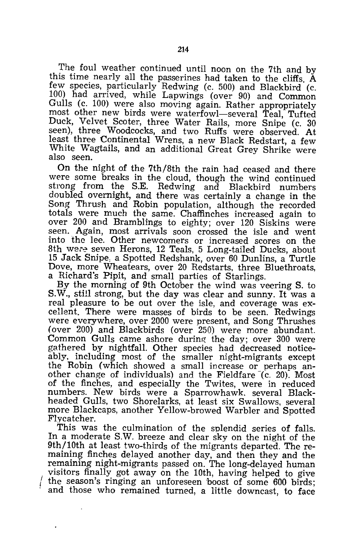The foul weather continued until noon on the 7th and by this time nearly all the passerines had taken to the cliffs. A few species, particularly Redwing (c. 500) and Blackbird (c. 100) had arrived, while Lapwings (over 90) and Common Gulls (c. 100) were also moving again. Rather appropriately most other new birds were waterfowl-several Teal, Tufted Duck, Velvet Scoter, three Water Rails, more Snipe (c. 30 seen), three Woodcocks, and two Ruffs were observed. At least three Continental Wrens, a new Black Redstart, a few White Wagtails, and an additional Great Grey Shrike were also seen.

On the night of the 7th/8th the rain had ceased and there were some breaks in the cloud, though the wind continued strong from the S.E. Redwing and Blackbird numbers doubled overnight, and there was certainly a change in the Song Thrush and Robin population, although the recorded totals were much the same. Chaffinches increased again to over 200 and Bramblings to eighty; over 120 Siskins were seen. Again, most arrivals soon crossed the isle and went into the lee. Other newcomers or increased scores on the 8th were seven Herons, 12 Teals, 5 Long-tailed Ducks, about 15 Jack Snipe, a Spotted Redshank, over 60 Dunlins, a Turtle Dove, more Wheatears, over 20 Redstarts, three Bluethroats, a Richard's Pipit, and small parties of Starlings.

By the morning of 9th October the wind was veering S. to S.W., still strong, but the day was clear and sunny. It was a real pleasure to be out over the isle, and coverage was excellent. There were masses of birds to be seen. Redwings were everywhere, over 2000 were present, and Song Thrushes (over 200) and Blackbirds (over 250) were more abundant. Common Gulls came ashore during the day; over 300 were gathered by nightfall. Other species had decreased noticeably. including most of the smaller night-migrants except the Robin (which showed a small increase or perhaps another change of individuals) and the Fieldfare  $(c. 20)$ . Most of the finches, and especially the Twites, were in reduced numbers. New birds were a Sparrowhawk. several Blackheaded Gulls, two Shorelarks, at least six Swallows, several more Blackcaps, another Yellow-browed Warbler and Spotted Flycatcher.

This was the culmination of the splendid series of falls. In a moderate S.W. breeze and clear sky on the night of the 9th/10th at least two-thirds of the migrants departed. The remaining finches delayed another day, and then they and the remaining night-migrants passed on. The long-delayed human visitors finally got away on the 10th, having helped to give the season's ringing an unforeseen boost of some 600 birds; and those who remained turned, a little downcast, to face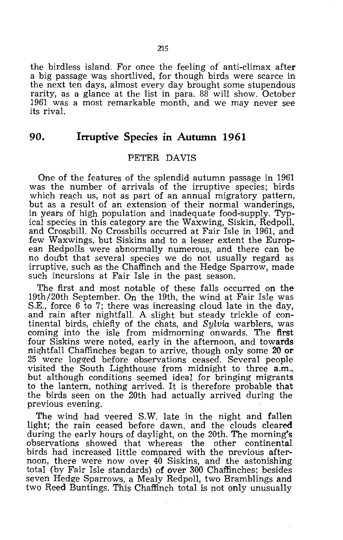the birdless island. For once the feeling of anti-climax after a big passage was shortlived, for though birds were scarce in the next ten days, almost every day brought some stupendous rarity, as a glance at the list in para. 88 will show. October 1961 was a most remarkable month, and we may never see its rival.

#### 90. Irruptive Species in Autumn 1961

#### PETER DAVIS

One of the features of the splendid autumn passage in 1961 was the number of arrivals of the irruptive species; birds which reach us, not as part of an annual migratory pattern, but as a result of an extension of their normal wanderings, in years of high population and inadequate food-supply. Typical species in this category are the Waxwing, Siskin, Redpoll, and Crossbill. No Crossbills occurred at Fair Isle in 1961, and few Waxwings, but Siskins and to a lesser extent the European Redpolls were abnormally numerous, and there can be no doubt that several species we do not usually regard as irruptive, such as the Chaffinch and the Hedge Sparrow, made such incursions at Fair Isle in the past season.

The first and most notable of these falls occurred on the 19th/20th September. On the 19th, the wind at Fair Isle was S.E., force 6 to 7; there was increasing cloud late in the day, and rain after nightfall. A slight but steady trickle of continental birds, chiefly of the chats, and *Sylvia* warblers, was coming into the isle from midmorning onwards. The first four Siskins were noted, early in the afternoon, and towards nightfall Chaffinches began to arrive, though only some 20 or 25 were logged before observations ceased. Several people visited the South Lighthouse from midnight to three a.m., but although conditions seemed ideal for bringing migrants to the lantern, nothing arrived. It is therefore probable that the birds seen on the 20th had actually arrived during the previous evening.

The wind had veered S.W. late in the night and fallen light; the rain ceased before dawn, and the clouds cleared during the early hours of daylight, on the 20th. The morning's observations showed that whereas the other continental observations showed that whereas the other birds had increased little compared with the previous afternoon, there were now over 40 Siskins, and the astonishing total (by Fair Isle standards) of over 300 Chaffinches; besides seven Hedge Sparrows, a Mealy Redpoll, two Bramblings and two Reed Buntings. This Chaffinch total is not only unusually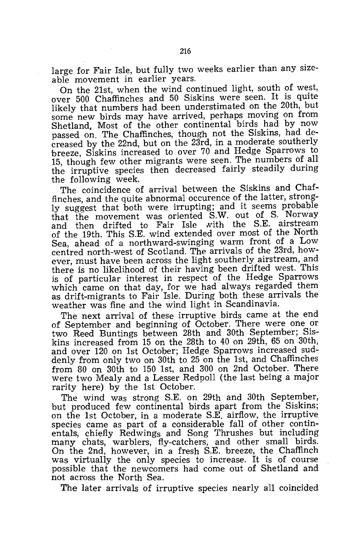large for Fair Isle, but fully two weeks earlier than any sizeable movement in earlier years.

On the 21st, when the wind continued light, south of west, over 500 Chaffinches and 50 Siskins were seen. It is quite likely that numbers had been understimated on the 20th, but some new birds may have arrived, perhaps moving on from Shetland. Most of the other continental birds had by now passed on. The Chaffinches, though not the Siskins, had decreased by the 22nd, but on the 23rd, in a moderate southerly 'breeze, Siskins increased to over 70 and Hedge Sparrows to 15, though few other migrants were seen. The numbers of all the irruptive species then decreased fairly steadily during the following week.

The coincidence of arrival between the Siskins and Chaffinches, and the quite abnormal occurence of the latter, strongly suggest that both were irrupting; and it seems probable that the movement was oriented S.W. out of S. Norway and then drifted to Fair Isle with the S.E. airstream of the 19th. This S.E. wind extended over most of the North Sea, ahead of a northward-swinging warm front of a Low centred north-west of Scotland. The arrivals of the 23rd, however, must have been across the light southerly airstream, and there is no likelihood of their having been drifted west. This is of particular interest in respect of the Hedge Sparrows which came on that day, for we had always regarded them as drift-migrants to Fair Isle. During both these arrivals the weather was fine and the wind light in Scandinavia.

The next arrival of these irruptive birds came at the end of September and beginning of October. There were one or two Reed Buntings between 28th and 30th September; Siskins increased from 15 on the 28th to 40 on 29th, 65 on 30th, and over 120 on 1st October; Hedge Sparrows increased suddenly from only two on 30th to 25 on the 1st, and Chaffinches from 80 on 30th to 150 1st, and 300 on 2nd October. There were two Mealy and a Lesser Redpoll (the last being a major rarity here) by the 1st October.

The wind was strong S.E. on 29th and 30th September, but produced few continental birds apart from the Siskins; on the 1st October, in a moderate S.E. airflow, the irruptive species came as part of a considerable fall of other continentals, chiefly Redwings and Song Thrushes but including many chats, warblers, fly-catchers, and other small birds. On the 2nd, however, in a fresh S.E. breeze, the Chaffinch was virtually the only species to increase. It is of course possible that the newcomers had come out of Shetland and not across the North Sea.

The later arrivals of irruptive species nearly all coincided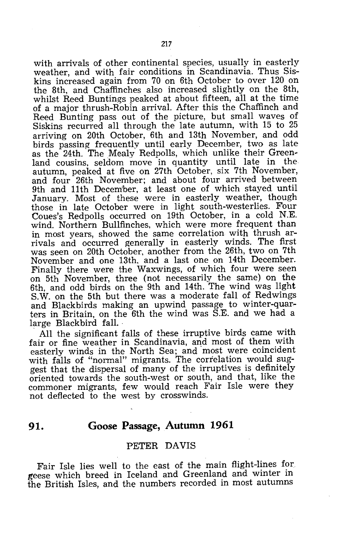with arrivals of other continental species, usually in easterly weather, and with fair conditions in Scandinavia. Thus Siskins increased again from 70 on 6th October to over 120 on the 8th, and Chaffinches also increased slightly on the 8th, whilst Reed Buntings peaked at about fifteen, all at the time of a major thrush-Robin arrival. After this the Chaffinch and Reed Bunting pass out of the picture, but small waves of Siskins recurred all through the late autumn, with 15 to 25 arriving on 20th October, 6th and 13th November, and odd birds passing frequently until early December, two as late as the 24th. The Mealy Redpolls, which unlike their Greenland cousins, seldom move in quantity until late in the autumn, peaked at five on 27th October, six 7th November, and four 26th November; and about four arrived between 9th and 11th December, at least one of which stayed until January. Most of these were in easterly weather, though those in late October were in light south-westerlies. Four Coues's Redpolls occurred on 19th October, in a cold N.E. wind. Northern Bullfinches, which were more frequent than in most years, showed the same correlation with thrush arrivals and occurred generally in easterly winds. The first was seen on 20th October, another from the 26th, two on 7th November and one 13th, and a last one on 14th December. Finally there were the Waxwings, of which four were seen on 5th November, three (not necessarily the same) on the 6th, and odd birds on the 9th and 14th. The wind was light S.W. on the 5th but there was a moderate fall of Redwings and Blackbirds making an upwind passage to winter-quarters in Britain, on the 6th the wind was S.E. and we had a large Blackbird fall.

All the significant falls of these irruptive birds came with fair or fine weather in Scandinavia, and most of them with easterly winds in the North Sea; and most were coincident with falls of "normal" migrants. The correlation would suggest that the dispersal of many of the irruptives is definitely oriented towards the south-west or south, and that, like the commoner migrants, few would reach Fair Isle were they not deflected to the west by crosswinds.

#### **91. Goose Passage, Autumn 1961**

#### PETER DAVIS

Fair Isle lies well to the east of the main flight-lines for geese which breed in Iceland and Greenland and winter in the British Isles, and the numbers recorded in most autumns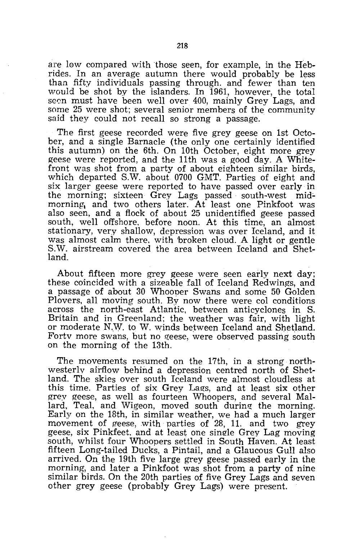are low compared with those seen, for example, in the Hebrides. In an average autumn there would probably be less than fifty individuals passing through. and fewer than ten would be shot by the islanders. In 1961, however, the total seen must have been well over 400, mainly Grey Lags, and some 25 were shot; several senior members of the community said they could not recall so strong a passage.

The first geese recorded were five grey geese on 1st October, and a single Barnacle (the only one certainly identified this autumn) on the 6th. On 10th October, eight more grey geese were reported, and the 11th was a good day. A Whitefront was shot from a party of about eighteen similar birds, which departed S.W. about 0700 GMT. Parties of eight and six larger geese were reported to have passed over early in the morning; sixteen Grey Lags passed south-west midmorning, and two others later. At least one Pinkfoot was also seen, and a flock of about 25 unidentified geese passed south, well offshore. before noon. At this time, an almost stationary, very shallow, depression was over Iceland, and it was almost calm there. with 'broken cloud. A light or gentle S.W. airstream covered the area between Iceland and Shetland.

About fifteen more grey geese were seen early next day; these coincided with a sizeable fall of Iceland Redwings, and a passage of about 30 Whooner Swans and some 50 Golden Plovers, all moving south. By now there were col conditions across the north-east Atlantic, between anticyclones in S. Britain and in Greenland; the weather was fair, with light or moderate N.W. to W. winds betweep Iceland and Shetland. Fortv more swans, but no geese, were observed passing south on the morning of the 13th.

The movements resumed on the 17th, in a strong northwesterly airflow behind a depression centred north of Shetland. The skies over south Iceland were almost cloudless at this time. Parties of six Grey Lags, and at least six other grey geese, as well as fourteen Whoopers, and several Mallard, Teal, and Wigeon, moved south during the morning. Early on the 18th, in similar weather, we had a much larger movement of geese, with parties of 28, 11. and two grey geese, six Pinkfeet. and at least one single Grey Lag moving south, whilst four Whoopers settled in South Haven. At least fifteen Long-tailed Ducks, a Pintail, and a Glaucous Gull also arrived. On the 19th five large grey geese passed early in the morning, and later a Pinkfoot was shot from a party of nine similar birds. On the 20th parties of five Grey Lags and seven other grey geese (probably Grey Lags) were present.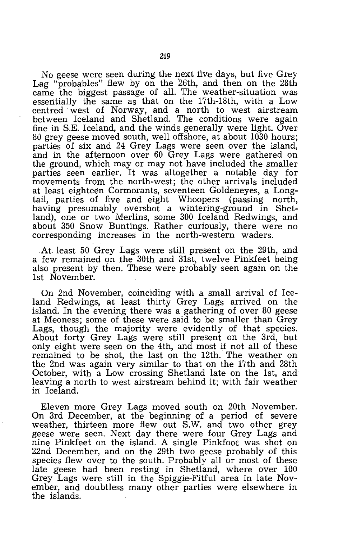No geese were seen during the next five days, but five Grey Lag "probables" flew by on the 26th, and then on the 28th came the biggest passage of all. The weather-situation was essentially the same as that on the 17th-18th, with a Low centred west of Norway, and a north to west airstream between Iceland and Shetland. The conditions were again fine in S.E. Iceland, and the winds generally were light. Over 80 grey geese moved south, well offshore, at about 1030 hours; parties of six and 24 Grey Lags were seen over the island, and in the afternoon over 60 Grey Lags were gathered on the ground, which may or may not have included the smaller parties seen earlier. It was altogether a notable day for movements from the north-west; the other arrivals included at least eighteen Cormorants, seventeen Goldeneyes, a Long-<br>tail, parties of five and eight Whoopers (passing north, tail, parties of five and eight Whoopers having presumably overshot a wintering-ground in Shetland), one or two Merlins, some 300 Iceland Redwings, and about 350 Snow Buntings. Rather curiously, there were no corresponding increases in the north-western waders.

At least 50 Grey Lags were still present on the 29th, and a few remained on the 30th and 31st, twelve Pinkfeet being also present by then. These were probably seen again on the 1st November.

On 2nd November, coinciding with a small arrival of Iceland Redwings, at least thirty Grey Lags arrived on the island. In the evening there was a gathering of over 80 geese at Meoness; some of these were said to be smaller than Grey Lags, though the majority were evidently of that species. About forty Grey Lags were still present on the 3rd, but only eight were seen on the 4th, and most if not all of these remained to be shot, the last on the 12th. The weather on the 2nd was again very similar to that on the 17th and 28th October, with a Low crossing Shetland late on the 1st, and leaving a north to west airstream behind it; with fair weather in Iceland.

Eleven more Grey Lags moved south on 20th November. On 3rd December, at the beginning of a period of severe weather, thirteen more flew out S.W. and two other grey geese were seen. Next day there were four Grey Lags and nine Pinkfeet on the island. A single Pinkioot was shot on 22nd December, and on the 29th two geese probably of this species flew over to the south. Probably all or most of these late geese had been resting in Shetland, where over 100 Grey Lags were still in the Spiggie-Fitful area in late November, and doubtless many other parties were elsewhere in the islands.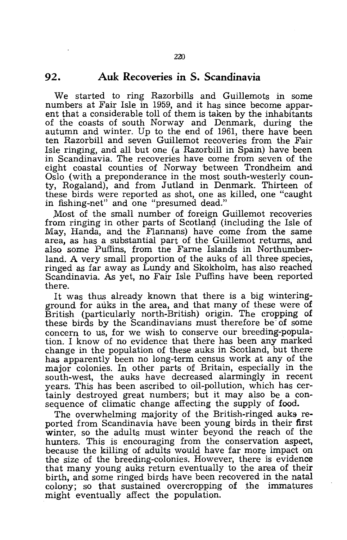#### **92. Auk Recoveries in S. Scandinavia**

We started to ring Razorbills and Guillemots in some numbers at Fair Isle in 1959, and it has since become apparent that a considerable toll of them is taken by the inhabitants of the coasts of south Norway and Denmark, during the autumn and winter. Up to the end of 1961, there have been ten Razorbill and seven Guillemot recoveries from the Fair Isle ringing, and all but one (a Razorbill in Spain) have been in Scandinavia. The recoveries have come from seven of the eight coastal counties of Norway 'between Trondheim and Oslo (with a preponderance in the most south-westerly county, Rogaland), and from Jutland in Denmark. Thirteen of these birds were reported as shot, one as killed, one "caught in fishing-net" and one "presumed dead."

Most of the small number of foreign Guillemot recoveries from ringing in other parts of Scotland (including the Isle of May, Handa, and the Flannans) have come from the same area, as has a substantial part of the Guillemot returns, and also some Puffins, from the Farne Islands in Northumberland. A very small proportion of the auks of all three species, ringed as far away as Lundy and Skokholm, has also reached Scandinavia. As yet, no Fair Isle Puffins have been reported there.

It was thus already known that there is a big winteringground for auks in the area, and that many of these were of British (particularly north-British) origin. The cropping of these birds by the Scandinavians must therefore be of some concern to us, for we wish to conserve our breeding-population. I know of no evidence that there has been any marked change in the population of these auks in Scotland, but there has apparently been no long-term census work at any of the major colonies. In other parts of Britain, especially in the south-west, the auks have decreased alarmingly in recent years. This has been ascribed to oil-pollution, which has certainly destroyed great numbers; but it may also be a consequence of climatic change affecting the supply of food.

The overwhelming majority of the British-ringed auks reported from Scandinavia have been young birds in their first winter, so the adults must winter beyond the reach of the hunters. This is encouraging from the conservation aspect, because the killing of adults would have far more impact on the size of the breeding-colonies. However, there is evidence that many young auks return eventually to the area of their birth, and some ringed birds have been recovered in the natal colony; so that sustained overcropping of the immatures might eventually affect the population.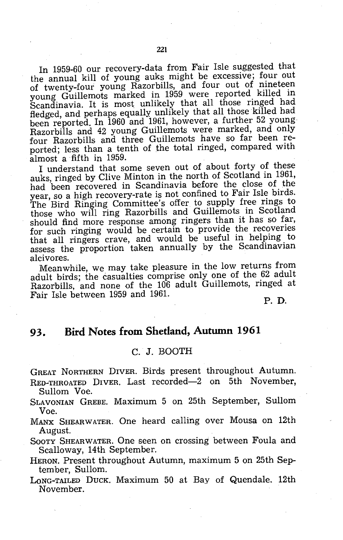In 1959-60 our recovery-data from Fair Isle suggested that the annual kill of young auks might be excessive; four out of twenty-four young Razorbills, and four out of nineteen young Guillemots marked in 1959 were reported killed in Scandinavia. It is most unlikely that all those ringed had fledged, and perhaps equally unlikely that all those killed had been reported. In 1960 and 1961, however, a further 52 young· Razorbills and 42 young Guillemots were marked, and only four Razorbills and three Guillemots have so far been reported; less than a tenth of the total ringed, compared with almost a fifth in 1959.

I understand that some seven out of about forty of these auks, ringed by Clive Minton in the north of Scotland in 1961, had been recovered in Scandinavia before the close of the year, so a high recovery-rate is not confined to Fair Isle birds. The Bird Ringing Committee's offer to supply free rings to those who will ring Razorbills and Guillemots in Scotland should find more response among ringers than it has so far, for such ringing would be certain to provide the recoveries that all ringers crave, and would be useful in helping to assess the proportion taken annually by the Scandinavian alcivores.

Meanwhile, we may take pleasure in the low returns from adult birds; the casualties comprise only one of the 62 adult Razorbills, and none of the 106 adult Guillemots, ringed at Fair Isle between 1959 and 1961.

P. D.

#### **93. Bird Notes from Shetland, Autumn 1961**

#### C. J. BOOTH

GREAT NORTHERN DIVER. Birds present throughout Autumn. RED-THROATED DIVER. Last recorded-2 on 5th November,

- Sullom Voe.
- SLAVONIAN GREBE. Maximum 5 on 25th September, Sullom Voe.
- MANX SHEARW ATER. One heard calling over Mousa on 12th August.

SOOTY SHEARW ATER. One seen on crossing between Foula and Scalloway, 14th September.

HERON. Present throughout Autumn, maximum 5 on 25th Sep- tember, Sullom.

LoNG-TAILED DUCK. Maximum 50 at Bay of Quendale. 12th November.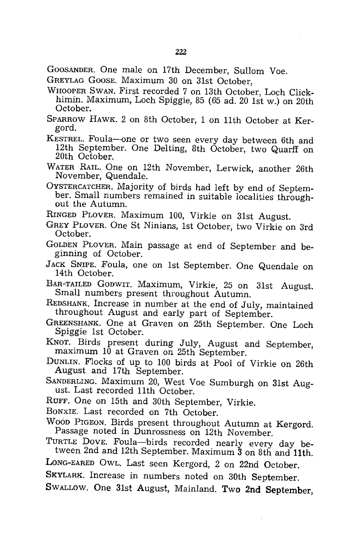GOOSANDER. One male on 17th December, Sullom Voe.

- GREYLAG GOOSE. Maximum 30 on 31st October.
- WHOOPER SWAN. First recorded 7 on 13th October, Loch Clickhimin. Maximum, Loch Spiggie, 85 (65 ad. 20 1st w.) on 20th October.
- SPARROW HAWK. 2 on 8th October, 1 on 11th October at Kergord.
- KESTREL. Foula-one or two seen every day between 6th and 12th September. One Delting, 8th October, two Quarff on 20th October.
- WATER RAIL. One on 12th November, Lerwick, another 26th November, Quendale.
- OYSTERCATCHER. Majority of birds had left by end of September. Small numbers remained in suitable localities throughout the Autumn.
- RINGED PLOVER. Maximum 100, Virkie on 31st August.
- GREY PLOVER. One St Ninians, 1st October, two Virkie on 3rd October.
- GOLDEN PLOVER. Main passage at end of September and beginning of October.
- JACK SNIPE. Foula, one on 1st September. One Quendale on 14th October.
- BAR-TAILED GODWIT. Maximum, Virkie, 25 on 31st August. Small numbers present throughout Autumn.
- REDSHANK. Increase in number at the end of July, maintained throughout August and early part of September.
- GREENSHANK. One at Graven on 25th September. One Loch Spiggie 1st October.
- KNOT. Birds present during July, August and September, maximum 10 at Graven on 25th September.
- DUNLIN. Flocks of up to 100 birds at Pool of Virkie on 26th August and 17th September.
- SANDERLING. Maximum 20, West Voe Sumburgh on 31st August. Last recorded 11th October.
- RUFF. One on 15th and 30th September, Virkie.
- BONXIE. Last recorded on 7th October.
- WOOD PIGEON. Birds present throughout Autumn at Kergord. Passage noted in Dunrossness on 12th November.
- TURTLE DOVE. Foula-birds recorded nearly every day between 2nd and 12th September. Maximum 3 on 8th and 11th.
- LONG-EARED OWL. Last seen Kergord, 2 on 22nd October.
- SKYLARK. Increase in numbers noted on 30th September.
- SWALLOW. One 31st August, Mainland. Two **2nd** September,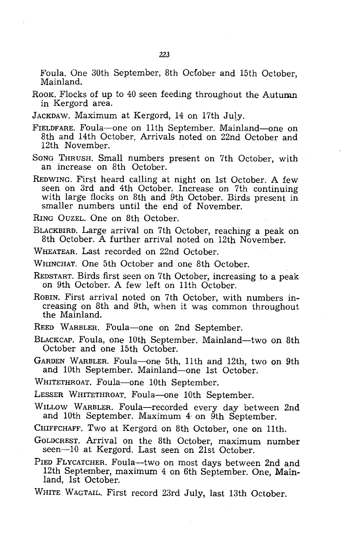Foula. One 30th September, 8th October and 15th October, Mainland.

- ROOK. Flocks of up to 40 seen feeding throughout the Autumn in Kergord area.
- JACKDAW. Maximum at Kergord, 14 on 17th July.
- FIELDFARE. Foula-one on 11th September. Mainland-one on 8th and 14th October. Arrivals noted on 22nd October and 12th November.
- SONG THRUSH. Small numbers present on 7th October, with an increase on 8th October.
- REDWING. First heard calling at night on 1st October. A few seen on 3rd and 4th October. Increase on 7th continuing with large flocks on 8th and 9th October. Birds present in smaller numbers until the end of November.

RING OUZEL. One on 8th October.

BLACKBIRD. Large arrival on 7th October, reaching a peak on 8th October. A further arrival noted on 12th November.

WHEATEAR. Last recorded on 22nd October.

WHINCHAT. One 5th October and one 8th October.

REDSTART. Birds first seen on 7th October, increasing to a peak on 9th October. A few left on 11th October.

ROBIN. First arrival noted on 7th October, with numbers increasing on 8th and 9th, when it was common throughout the Mainland.

REED WARBLER. Foula-one on 2nd September.

BLACKCAP. Foula, one 10th September. Mainland—two on 8th October and one 15th October.

GARDEN WARBLER. Foula-one 5th, 11th and 12th, two on 9th and 10th September. Mainland-one 1st October.

WHITETHROAT. Foula-one 10th September.

LESSER WHITETHROAT. Foula-one 10th September.

- WILLOW WARBLER. Foula-recorded every day between 2nd and 10th September. Maximum 4' on 9th September.
- CHIFFCHAFF. Two at Kergord on 8th October, one on 11th.
- GOLDCREST. Arrival on the 8th October, maximum number seen-10 at Kergord. Last seen on 21st October.
- PIED FLYCATCHER. Foula--two on most days between 2nd and 12th September, maximum 4 on 6th September. One, Mainland, 1st October.
- WHITE WAGTAIL. First record 23rd July, last 13th October.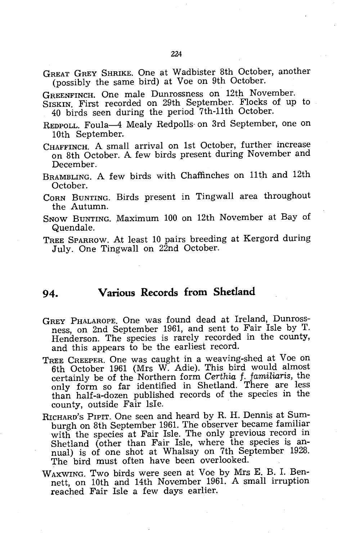GREAT GREY SHRIKE. One at Wadbister 8th October, another (possibly the same bird) at Voe on 9th October.

GREENFINCH. One male Dunrossness on 12th November.

SISKIN. First recorded on 29th September. Flocks of up to 40 birds seen during the period 7th-11th October.

- REDPOLL. Foula-4 Mealy Redpolls- on 3rd September, one on 10th September.
- CHAFFINCH. A small arrival on 1st October, further increase on 8th October. A few birds present during November and December.
- BRAMBLING. A few birds with Chaffinches on 11th and 12th October.
- CORN BUNTING. Birds present in Tingwall area throughout the Autumn.
- SNOW BUNTING. Maximum 100 on 12th November at Bay of Quendale.
- TREE SPARROW. At least 10 pairs breeding at Kergord during July. One Tingwall on 22nd October.

#### **94. Various Records from Shetland**

- GREY PHALAROPE. One was found dead at Ireland, Dunrossness, on 2nd September 1961, and sent to Fair Isle by T. Henderson. The species is rarely recorded in the county, and this appears to be the earliest record.
- TREE CREEPER. One was caught in a weaving-shed at Voe on 6th October 1961 (Mrs W. Adie). This bird would almost certainly be of the Northern form *Certhia* f. *familiaris,* the only form so far identified in Shetland. There are less than half-a-dozen published records of the species in the county, outside Fair Isle.
- RICHARD'S PIPIT. One seen and heard by R. H. Dennis at Sumburgh on 8th September 1961. The observer became familiar with the species at Fair Isle. The only previous record in Shetland (other than Fair Isle, where the species is annual) is of one shot at Whalsay on 7th September 1928. The bird must often have been overlooked.
- WAXWING. Two birds were seen at Voe by Mrs E. B. 1. Bennett, on 10th and 14th November 1961. A small irruption reached Fair Isle a few days earlier.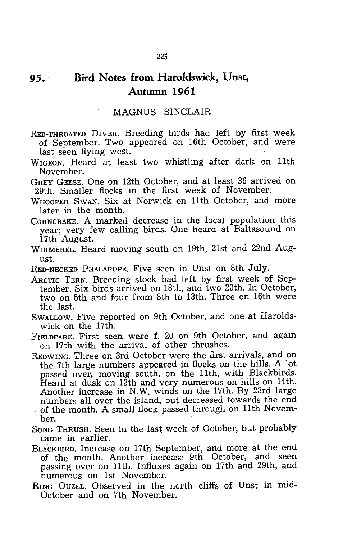#### **95. Bird Notes from Haroldswick, Unst, Autumn 1961**

#### MAGNUS SINCLAIR

- RED-THROATED DIVER. Breeding birds had left by first week of September. Two appeared on 16th October, and were last seen flying west.
- WIGEON. Heard at least two whistling after dark on 11th November.
- GREY GEESE. One on 12th October, and at least 36 arrived on 29th. Smaller flocks in the first week of November.
- WHOOPER SWAN. Six at Norwick on 11th October, and more later in the month.
- CORNCRAKE. A marked decrease in the local population this year; very few calling birds. One heard at Baltasound on 17th August.
- WHIMBREL. Heard moving south on 19th, 21st and 22nd August.
- RED-NECKED PHALAROPE. Five seen in Unst on 8th July.
- ARCTIC TERN. Breeding stock had left by first week of September. Six birds arrived on 18th, and two 20th. In October, two on 5th and four from 8th to 13th. Three on 16th were the last.
- SWALLOW. Five reported on 9th October, and one at Haroldswick on the 17th.
- FIELDFARE. First seen were f. 20 on 9th October, and again on 17th with the arrival of other thrushes.
- REDWING. Three on 3rd October were the first arrivals, and on the 7th large numbers appeared in flocks on the hills. A lot passed over, moving south, on the 11th, with Blackbirds. Heard at dusk on 13th and very numerous on hills on 14th. Another increase in N.W. winds on the 17th. By 23rd large of the month. A small flock passed through on 11th November.
- SONG THRUSH. Seen in the last week of October, but probably came in earlier.
- BLACKBIRD. Increase on 17th September, and more at the end of the month. Another increase 9th October, and seen passing over on 11th. Influxes again on 17th and 29th, and numerous on 1st November.
- RING OUZEL. Observed in the north cliffs of Unst in mid-October and on 7th November.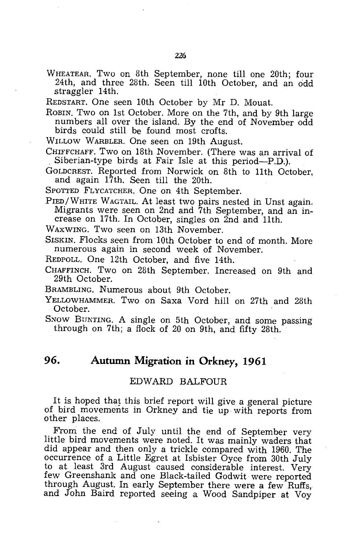WHEATEAR. Two on 8th September, none till one 20th; four 24th, and three 28th. Seen till 10th October, and an odd straggler 14th.

REDSTART. One seen 10th October by Mr D. Mouat.

- ROBIN. Two on 1st October. More on the 7th, and by 9th large numbers all over the island. By the end of November odd birds could still be found most crofts.
- WILLOW WARBLER. One seen on 19th August.

CHIFFCHAFF. Two on 18th November. (There was an arrival of Siberian-type birds at Fair Isle at this period-P.D.).

GOLDCREST. Reported from Norwick on 8th to 11th October, and again 17th. Seen till the 20th.

SPOTTED FLYCATCHER. One on 4th September.

PIED/WHITE WAGTAIL. At least two pairs nested in Unst again. Migrants were seen on 2nd and 7th September, and an increase on 17th. In October, singles on 2nd and 11th.

WAXWING. Two seen on 13th November.

SISKIN. Flocks seen from 10th October to end of month. More numerous again in second week of November.

REDPOLL. One 12th October, and five 14th.

CHAFFINCH. Two on 28th September. Increased on 9th and 29th October.

BRAMBLING. Numerous about 9th October.

YELLOWHAMMER. Two on Saxa Vord hill on 27th and 28th October.

SNOW BUNTING. A single on 5th October, and some passing through on 7th; a flock of 20 on 9th, and fifty 28th.

#### **96. Autumn Migration in Orkney, 1961**

#### EDWARD BALFOUR

It is hoped that this brief report will give a general picture of bird movements in Orkney and tie up with reports from other places.

From the end of July until the end of September very little bird movements were noted. It was mainly waders that did appear and then only a trickle compared with 1960. The occurrence of a Little Egret at Isbister Oyce from 30th July to at least 3rd August caused considerable interest. Very few Greenshank and one Black-tailed Godwit were reported through August. In early September there were a few Ruffs, and John Baird reported seeing a Wood Sandpiper at Voy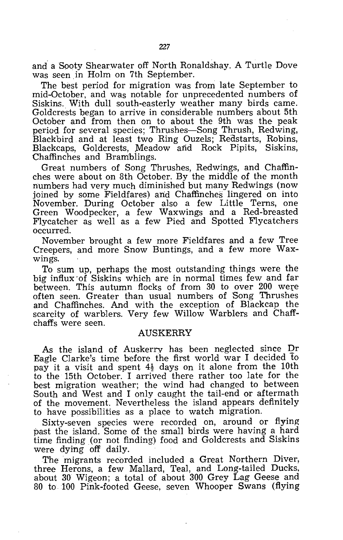and a Sooty Shearwater off North Ronaldshay. A Turtle Dove was seen in Holm on 7th September.

The best period for migration was from late September to mid-October, and was notable for unprecedented numbers of Siskins. With dull south-easterly weather many birds came. Goldcrests began to arrive in considerable numbers about 5th October and from then on to about the 9th was the peak period for several species; Thrushes-Song Thrush, Redwing, Blackbird and at least two Ring Ouzels; Redstarts, Robins, Blackcaps, Goldcrests, Meadow and Rock Pipits, Siskins, Chaffinches and Bramblings.

Great numbers of Song Thrushes, Redwings, and Chaffinches were about on 8th October. By the middle of the month numbers had very much diminished but many Redwings (now joined by some Fieldfares) and Chaffinches lingered on into November. During October also a few Little Terns, one Green Woodpecker, a few Waxwings and a Red-breasted Flycatcher as well as a few Pied and Spotted Flycatchers occurred.

November brought a few more Fieldfares and a few Tree Creepers, and more Snow Buntings, and a few more Waxwings.

To sum up, perhaps the most outstanding things were the big influx ·of Siskins which are in normal times few and far between. This autumn flocks of from 30 to over 200 were often seen. Greater than usual numbers of Song Thrushes and Chaffinches. And with the exception of Blackcap the scarcity of warblers. Very few Willow Warblers and Chaffchaffs were seen.

#### AUSKERRY

As the island of Auskerry has been neglected since Dr Eagle Clarke's time before the first world war I decided to pay it a visit and spent  $4\frac{1}{2}$  days on it alone from the 10th to the 15th October. I arrived there rather too late for the best migration weather; the wind had changed to between South and West and I only caught the tail-end or aftermath of the movement. Nevertheless the island appears definitely to have possibilities as a place to watch migration.

Sixty-seven species were recorded on, around or flying past the island. Some of the small birds were having a hard time finding (or not finding) food and Goldcrests and Siskins were dying off daily.

The migrants recorded included a Great Northern Diver, three Herons, a few Mallard, Teal, and Long-tailed Ducks. about 30 Wigeon; a total of about 300 Grey Lag Geese and 80 to 100 Pink-footed Geese, seven Whooper Swans (flying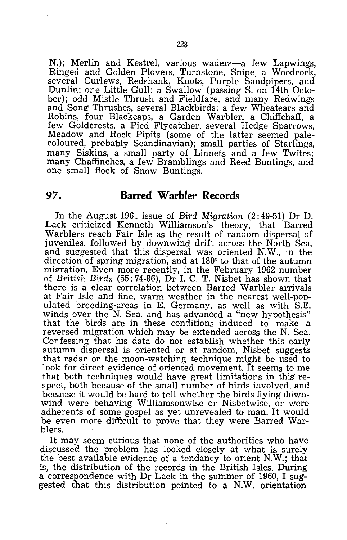N.); Merlin and Kestrel, various waders-a few Lapwings, Ringed and Golden Plovers, Turnstone, Snipe, a Woodcock, several Curlews, Redshank, Knots, Purple Sandpipers, and Dunlin; one Little Gull; a Swallow (passing S. on 14th October); odd Mistle Thrush and Fieldfare, and many Redwings and Song Thrushes, several Blackbirds; a few Wheatears and Robins, four Blackcaps, a Garden Warbler, a Chiffchaff, a few Goldcrests, a Pied Flycatcher, several Hedge Sparrows, Meadow and Rock Pipits (some of the latter seemed palecoloured, probably Scandinavian); small parties of Starlings, many Siskins, a small party of Linnets and a few Twites; many Chaffinches, a few Bramblings and Reed Buntings, and one small flock of Snow Buntings.

#### **97. Barred Warbler Records**

In the August 1961 issue of *Bird Migration* (2: 49-51) Dr D. Lack criticized Kenneth Williamson's theory, that Barred Warblers reach Fair Isle as the result of random dispersal of juveniles, followed by downwind drift across the North Sea, and suggested that this dispersal was oriented N.W., in the direction of spring migration, and at  $180^{\circ}$  to that of the autumn migration. Even more recently, in the February 1962 number of *British Birds* (55: 74-86), Dr I. C. T. Nisbet has shown that there is a clear correlation between Barred Warbler arrivals at Fair Isle and fine, warm weather in the nearest well-populated breeding-areas in E. Germany, as well as with S.E. winds over the N. Sea, and has advanced a "new hypothesis" that the birds are in these conditions induced to make a reversed migration which may be extended across the N. Sea. Confessing that his data do not establish whether this early autumn dispersal is oriented or at random, Nisbet suggests that radar or the moon-watching technique might be used to look for direct evidence of oriented movement. It seems to me that both techniques would have great limitations in this respect, both because of the small number of birds involved, and because it would be hard to tell whether the birds flying downwind were behaving Williamsonwise or Nisbetwise, or were adherents of some gospel as yet unrevealed to man. It would be even more difficult to prove that they were Barred Warblers.

It may seem curious that none of the authorities who have discussed the problem has looked closely at what is surely the best available evidence of a tendancy to orient N.W.; that is, the distribution of the records in the British Isles. During a correspondence with Dr Lack in the summer of 1960, I suggested that this distribution pointed to a N.W. orientation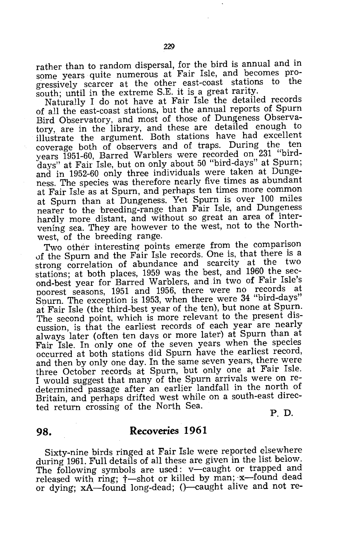south; until in the extreme S.E. it is a great rarity. Naturally I do not have at Fair Isle the detailed records of all the east-coast stations, but the annual reports of Spurn Bird Observatory, and most of those of Dungeness Observatory, are in the library, and these are detailed enough to illustrate the argument. Both stations have had excellent coverage both of observers and of traps. During the ten years 1951-60, Barred Warblers were recorded on 231 "birddays" at Fair Isle, but on only about 50 "bird-days" at Spurn; and in 1952-60 only three individuals were taken at Dungeness. The species was therefore nearly five times as abundant at Fair Isle as at Spurn, and perhaps ten times more common at Spurn than at Dungeness. Yet Spurn is over 100 miles nearer to the breeding-range than Fair Isle, and Dungeness hardly more distant, and without so great an area of intervening sea. They are however to the west, not to the Northwest, of the breeding range.

Two other interesting points emerge from the comparison uf the Spurn and the Fair Isle records. One is, that there is a strong correlation of abundance and scarcity at the two stations; at both places, 1959 was the best, and 1960 the second-best year for Barred Warblers, and in two of Fair Isle's poorest seasons, 1951 and 1956, there were no records at Spurn. The exception is 1953, when there were 34 "bird-days" at Fair Isle (the third-best year of the ten), but none at Spurn. The second point, which is more relevant to the present discussion, is that the earliest records of each year are nearly always later (often ten days or more later) at Spurn than at Fair Isle. In only one of the seven years when the species occurred at both stations did Spurn have the earliest record, and then by only one day. In the same seven years, there were three October records at Spurn, but only one at Fair Isle. I would suggest that many of the Spurn arrivals were on redetermined passage after an earlier landfall in the north of Britain, and perhaps drifted west while on a south-east directed return crossing of the North Sea.

P. D.

#### **98. Recoveries 1961**

Sixty-nine birds ringed at Fair Isle were reported elsewhere during 1961. Full details of all these are given in the list below. The following symbols are used: v-caught or trapped and released with ring;  $\dagger$ -shot or killed by man; x-found dead or dying; xA-found long-dead; ()-caught alive and not re-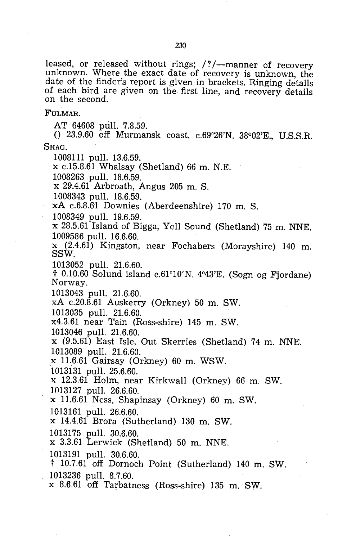leased, or released without rings; /?/--manner of recovery unknown. Where the exact date of recovery is unknown, the date of the finder's report is given in brackets. Ringing details of each bird are given on the first line, and recovery details on the second.

FULMAR.

AT 64608 pull. 7.8.59.

()  $23.9.60$  off Murmansk coast, c.69°26'N.  $38°02'E$ . U.S.S.R. SHAG.

1008111 pull. 13.6.59.

x c.15.8.61 Whalsay (Shetland) 66 m. N.E.

1008263 pull. 18.6.59.

x 29.4.61 Arbroath, Angus 205 m.S.

1008343 pull. 18.6.59\_

xA c.6.8.61 Downies (Aberdeenshire) 170 m. S.

1008349 pull. 19.6.59.

x 28.5.61 Island of Bigga, Yell Sound (Shetland) 75 m. NNE. 1009586 pull. 16.6.60.

 $x$  (2.4.61) Kingston, near Fochabers (Morayshire) 140 m. SSW.<br>1013052 pull. 21.6.60.

 $\uparrow$  0.10.60 Solund island c.61°10'N. 4°43'E. (Sogn og Fjordane) Norway.

1013043 pull. 21.6.60.

xA c.20.8.61 Auskerry (Orkney) 50 m. SW.

1013035 pull. 21.6.60.

x4.3.61 near Tain (Ross-shire) 145 m. SW.

1013046 pull. 21.6.60.

x (9.5.61) East Isle, Out Skerries (Shetland) 74 m. NNE. 1013089 pull. 21.6.60.

 $x$  11.6.61 Gairsay (Orkney) 60 m. WSW.

1013131 pull. 25.6.60.

x 12.3.61 Holm, near Kirkwall (Orkney) 66 m. SW. 1013127 pull. 26.6.60.

x 11.6.61 Ness, Shapinsay (Orkney) 60 m. SW.

1013161 pull. 26.6.60.

x 14.4.61 Brora (Sutherland) 130 m. SW.

1013175 pull. 30.6.60.

x 3.3.61 Lerwick (Shetland) 50 m. NNE.

1013191 pull. 30.6.60.

t 10.7.61 off Dornoch Point (Sutherland) 140 m. SW. 1013236 pull. 8.7.60.<br>x 8.6.61 off Tarbatness (Ross-shire) 135 m. SW.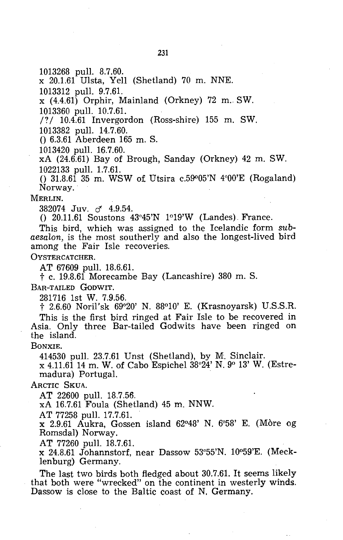1013268 pull. 8.7.60.

x 20.1.61 Ulsta, Yell (Shetland) 70 m. NNE.

1013312 pull. 9.7.61.

 $x(4.4.61)$  Orphir, Mainland (Orkney) 72 m. SW.

1013360 pull. 10.7.61.

 $/$  ( $\frac{10.4.61}{10.4.61}$  Invergordon (Ross-shire) 155 m. SW. 1013382 pull. 14.7.60.

o 6.3.61 Aberdeen 165 m. S.

1013420 pull. 16.7.60.

xA (24.6.61) Bay of Brough, Sanday (Orkney) 42 m. SW. 1022133 pull. 1.7.61.

()  $31.8.61$  35 m. WSW of Utsira c.59 $905'N$  4 $90'E$  (Rogaland) Norway. .

MERLIN.

382074 Juv. & 4.9.54.

() 20.11.61 Soustons 43°45'N 1°19'W (Landes) France.

This bird, which was assigned to the Icelandic form *subaesalon,* is the most southerly and also the longest-lived bird among the Fair Isle recoveries.

OYSTERCATCHER.

AT 67609 pull. 18.6.61.

t c. 19.8.61 Morecambe Bay (Lancashire) 380 m. S.

BAR-TAILED GoDWIT.

281716 1st W. 7.9.56.

t 2.6.60 Noril'sk 69°20' N. 88°10' E. (Krasnoyarsk) U.S.S.R. This is the first bird ringed at Fair Isle to be recovered in Asia. Only three Bar-tailed Godwits have been ringed on the island.

BONXIE.

414530 pull. 23.7.61 Unst (Shetland), by M. Sinclair.

x 4.11.61 14 m. W. of Cabo Espichel 38°24' N. 9° 13' W. (Estremadura) Portugal. .

ARCTIC SKUA.

AT 22600 pull. 18.7.56.

xA 16.7.61 Foula (Shetland) 45 m. NNW.

AT 77258 pull. 17.7.61.

 $x$  2.9.61 Aukra, Gossen island 62°48' N. 6°58' E. (Mòre og Romsdal) Norway.

AT 77260 pull. 18.7.61.

 $x$  24.8.61 Johannstorf, near Dassow 53°55'N. 10°59'E. (Mecklenburg) Germany.

The last two birds both fledged about 30.7.61. It seems likely that both were "wrecked" on the continent in westerly winds. Dassow is close to the Baltic coast of N. Germany.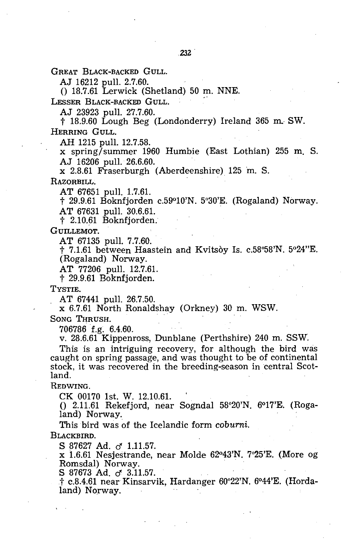GREAT BLACK-BACKED GULL.

AJ 16212 pull. 2.7.60.

 $($ ) 18.7.61 Lerwick (Shetland) 50 m. NNE.

LESSER BLACK-BACKED GULL.

AJ 23923 pull. 27.7.60.

t 18.9.60 Lough Beg (Londonderry) Ireland 365 m.. SW. HERRING GULL.

AH 1215 pull. 12.7.58.

x spring/summer 1960 Humbie (East Lothian) 255 m. S. AJ 16206 pull. 26.6.60.

x 2.8.61 Fraserburgh (Aberdeenshire) 125 m. S.

RAZORBILL.

AT 67651 pull. 1.7.61.

t 29.9.61 Boknfjorden c.59°10'N. 5°30'E. (Rogaland) Norway. AT 67631 pull. 30.6.61.

t 2.10.61 Boknfjorden.

GUILLEMOT.

AT 67135 pull. 7.7.60.

t 7.1.61 between Haastein and Kvitsoy Is. c.58°58'N. 5°24"E. (Rogaland) Norway.

AT 77206 pull. 12.7.61.

t 29.9.61 Boknfjorden.

TYSTIE.

AT 67441 pull. 26.7.50.

x 6.7.61 North Ronaldshay (Orkney) 30 m. WSW.

SONG THRUSH.

706786 f.g~ 6.4.60.

v. 28.6.61 Kippenross, Dunblane (Perthshire) 240 m. SSW.

This is an intriguing recovery, for although the bird was caught on spring passage, and was thought to be of continental stock, it was recovered in the breeding-season in central Scotland.

REDWING.

CK 00170 1st. W. 12.10.61.

()  $2.11.61$  Rekefjord, near Sogndal  $58^{\circ}20'$ N.  $6^{\circ}17'E$ . (Rogaland) Norway.

This bird was of the Icelandic form *coburni.* 

BLACKBIRD.

S 87627 Ad. of 1.11.57.

x 1.6.61 Nesjestrande, near Molde 62°43'N. 7°25'E. (More og Romsdal) Norway.

S 87673 Ad. of 3.11.57.

† c.8.4.61 near Kinsarvik, Hardanger 60°22'N. 6°44'E. (Hordaland) Norway. .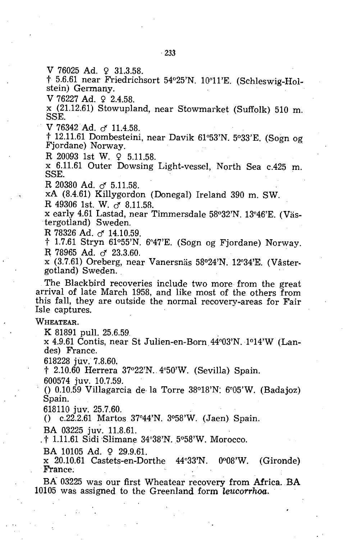V 76025 Ad.  $9$  31.3.58.

† 5.6.61 near Friedrichsort 54°25'N. 10°11'E. (Schleswig-Holstein) Germany.

 $V$  76227 Ad.  $9$  2.4.58.

<sup>X</sup>(21.12.61) Stowupland, near Stowmarket (Suffolk) 510 m. SSE.

V 76342 Ad. *d 11.4.58.* 

t 12.11.61 Dombesteini, near Davik 61°53'N. 5°33'E. (Sogn og Fjordane) Norway.

R 20093 1st W.  $9$  5.11.58.

x 6.11.61 Outer Dowsing Light-vessel, North Sea c.425 m. SSE.

R 20380 Ad. *d 5.11.58.* 

xA (8.4.61) Killygordon (Donegal) Ireland 390 m. SW.

R 49306 1st. W. *d 8.11.58.* 

x early 4.61 Lastad, near Timmersdale 58°32'N. 13°46'E. (Vastergotland) Sweden.

R 78326 Ad. *d 14.10.59.* 

t 1.7.61 Stryn 61°55'N. 6°47'E. (Sogn og Fjordane) Norway. R 78965 Ad.  $\sigma$  23.3.60.

x (3.7.61) Oreberg, near Vanersnas 58°24'N. 12°34'E. (Vastergotland) Sweden.

The Blackbird recoveries include two more from the great arrival of late March 1958, and like most of the others from this fall, they are outside the normal recovery-areas for Fair Isle captures.

WHEATEAR.

K 81891 pull. 25.6.59<br>x 4.9.61 Contis, near St Julien-en-Born, 44°03'N. 1°14'W (Landes) France.

618228 juv. 7.8.60.

t 2.10.60 Herrera 37°22'N., 4°50'W. (Sevilla) Spain.

600574 juv. 10.7.59.

()  $0.10.59$  Villagarcia de la Torre 38°18'N: 6°05'W. (Badajoz) Spain.

618110 juv. 25.7.60.

o c.22.2.61 Martos 37°44'N. 3°58'W. (Jaen) Spain.

BA 03225 juv. 11.8.61.

. t 1.11.61 Sidi'Slimane 34°38'N.5°58'W. Morocco.

BA 10105 Ad. 9 29.9.61.

x 20.10.61 Castets-en-Dorthe 44°33'N. 0008'W. (Gironde) France;

BA 03225 was our first Wheatear recovery from Africa. BA 10105 was assigned to the Greenland form *leucorrhoa.*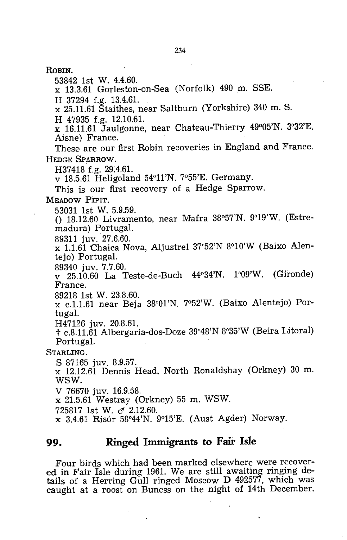ROBIN.

53842 1st W. 4.4.60.

x 13.3.61 Gorleston-on-Sea (Norfolk) 490 m. SSE.

H 37294 f.g. 13.4.61.

x 25.11.61 Staithes, near Saltburn (Yorkshire) 340 m. S.

H 47935 f.g. 12.10.61.

x 16.11.61 Jaulgonne, near Chateau-Thierry 49°05'N. 3°32'E. Aisne) France.

These are our first Robin recoveries in England and France. HEDGE SPARROW.

H37418 f.g. 29.4.61.

v 18.5.61 Heligoland 54°11'N. 7°55'E. Germany.

This is our first recovery of a Hedge Sparrow.

MEADOW PiPIT.

53031 1st W. 5.9.59.

()  $18.12.60$  Livramento, near Mafra  $38°57'N$ .  $9°19'W$ . (Estremadura) Portugal.

89311 juv. 27.6.60.

x 1.1.61 Chaica Nova, Aljustrel 37°52'N 8°10'W (Baixo Alentejo) Portugal.

89340 juv. 7.7.60.

v 25.10.60 La Teste-de-Buch 44°34'N. 1°09'W. (Gironde) France.

89218 1st W. 23.8.60.

x c.1.1.61 near Beja 38°01'N. 7°52'W. (Baixo Alentejo) Portugal.

H47126 juv. 20.8.61.

t c.8.11.61 Albergaria-dos-Doze 39°48'N 8°35'W (Beira Litoral) Portugal.

STARLING.

S 87165 juv. 8.9.57.

x 12.12.6i Dennis Head, North Ronaldshay (Orkney) 30 m. WSW.

V 76670 juv. 16.9.58.

x 21.5.61 Westray (Orkney) 55 m. WSW.

725817 1st W. *cf 2.12.60.* 

x 3.4.61 Risor 58°44'N. 9°15'E. (Aust Agder) Norway.

#### **99. Ringed Immigrants to Fair Isle**

Four birds which had been marked elsewhere were recovered in Fair Isle during 1961. We are still awaiting ringing details of a Herring Gull ringed Moscow D 492577, which was caught at a roost on Buness on the night of 14th December.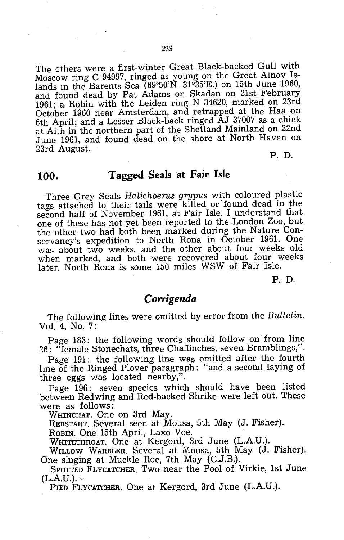The cthers were a first-winter Great Black-backed Gull with Moscow ring C 94997, ringed as young on the Great Ainov Islands in the Barents Sea (69°50'N. 31°35'E.) on 15th June 1960, and found dead by Pat Adams on Skadan on 21st February 1961; a Robin with the Leiden ring N 34620, marked on. 23rd October 1960 near Amsterdam, and retrapped at the Haa on 6th April; and a Lesser Black-back ringed AJ 37007 as a chick at Aith in the northern part of the Shetland Mainland on 22nd June 1961, and found dead on the shore at North Haven on 23rd August.

P. D.

#### **100. Tagged Seals at Fair Isle**

Three Grey Seals *Halichoerus grypus* with coloured plastic tags attached to their tails were killed or found dead in the second half of November 1961, at Fair Isle. I understand that one of these has not yet been reported to the London Zoo, but the other two had both been marked during the Nature Conservancy's expedition to North Rona in October 1961. One was about two weeks, and the other about four weeks old when marked, and both were recovered about four weeks later. North Rona is some 150 miles WSW of Fair Isle.

P. D.

#### *Corrigenda*

The following lines were omitted by error from the *Bulletin.*  Vo!. 4, No. 7:

Page 183: the following words should follow on from line 26: "female Stonechats, three Chaffinches, seven Bramblings,".

Page 191: the following line was omitted after the fourth line of the Ringed Plover paragraph: "and a second laying of three eggs was located nearby,".

Page 196: seven species which should have been listed between Redwing and Red-backed Shrike were left out. These were as follows:

WHINCHAT. One on 3rd May.

REDSTART. Several seen at Mousa, 5th May (J. Fisher).

ROBIN. One 15th April, Laxo Voe.

WHITETHROAT. One at Kergord, 3rd June (L.A.U.).

WILLOW WARBLER. Several at Mousa, 5th May (J. Fisher). One singing at Muckle Roe, 7th May (C.J.B.).

SPOTTED FLYCATCHER. Two near the Pool of Virkie, 1st June  $(L.A.U.)$ .

PIED FLYCATCHER. One at Kergord, 3rd June (L.A.U.).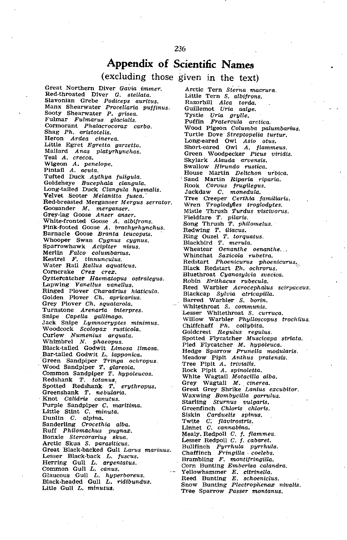### **Appendix of Scientific Names**

#### (excluding those given in the text)

Great Northern Diver Gavia immer. Red·throated Diver G. stellata. Slavonian Grebe Podiceps auritus. Manx Shearwater Procellaria puffinus. Sooty Shearwater P. grisea. Fulmar Fulmarus glacialis. Cormorant Phalacrocorax carbo. Shag Ph. aristotelis. 'Heron Ardea cinerea. Little Egret Egretta garzetta. Mallard Anas platyrhynchos. Teal A. crecca. Wigeon A. penelope.<br>Pintail A. acuta. Tufted Duck Aythya fuligula. Goldeneye Bucephala clangula. Long-tailed Duck Clangula hyemalis. Velvet Scoter Melanitta fusca. Red-breasted Merganser Mergus serrator. Goosander M. merganser. Grey-lag Goose Anser anser. White-fronted Goose A. albifrons. Pink-footed Goose A. brachyrhynchus. Barnacle Goose Branta leucopsis. Whooper Swan Cygnus cygnus. Sparrowhawk *Acipiter nisus.*<br>Merlin Falco columbarius.<br>Kestrel F. tinnunculus.<br>Water Rail Rallus aquaticus. Corncrake Crex crex. Oystercatcher Haematopus ostralegus. Lapwing Vanellus vanellus. Ringed Plover *Charadrius hiaticula.*<br>Golden Plover *Ch. apricarius*. Grey Plover Ch. squatarola. Turnstone Arenaria interpres. Snipe Capella gallinago. Jack Snipe Lymnocryptes minimus. Woodcock Scolopax rusticola. Curlew Numenius arquata. Whimbrel N. phaeopus. Black-tailed Godwit Limosa limosa. Bar-tailed Godwit L. lapponica. 'Green Sandpiper Tringa ochropus. Wood Sandpiper T. glareola. Common Sandpiper T. hypoleucos. Redshank T. totanus,<br>Spotted Redshank T. erythropus. Spotted Redshank $r$ . Greenshank T. nebularia.<br>Knot Calidris canutus. Purple Sandpiper C. maritima. Little Stint C. minuta. Dunlin C. alpina.<br>Sanderling Crocethia alba.<br>Duff Differentian Ruff Philomachus pugnax. Bonxie Stercorarius skua. Arctic Skua S. parasiticus. Freat Black-backed Gull Larus marinus.<br>Lesser Black-back L. fuscus.<br>Lessien Brambling F. montifringilla.<br>
Herring Gull L. argentatus. Corn Bunting Emberiza calandra.<br>
Common Gull L. canus. Common Corn Bunting E. citrinella. Glaucous Gull L. hyperboreus. Black-headed Gull L. rldibundus. Litle Gull L. minutus.

Arctic Tern Sterna macrura. Little Tern S. albifrons. Razorbill Alca torda. Guillemot Uria aalge. Tystie Uria grylle. Puffin Fratercula arctica. Wood Pigeon Columba palumbarius. Turtle Dove Streptopelia turtur. Long-eared Owl Asio otus. Short-eared Owl A. flammeus. Green Woodpecker Picus viridis. Skylark Alauda arvensis. Swallow Hirundo rustica. House Martin Delichon urbica. Sand Martin Riparia riparia. Rook Corvus frugilegus. Jackdaw C. monedula.<br>Tree Creeper Certhia familiaris.<br>Wren Troglody¢es troglodytes. Mistle Thrush Turdus viscivorus. Fieldfare T. pilaris.<br>Song Thrush T. philomelus.<br>Redwing T. iliacus.<br>Ring Ouzel T. torquatus. Blackbird T. merula. Wheatear Oenanthe oenanthe. Whinchat Saxicola rubetra. Redstart Phoenicurus phoenicurus, Black Redstart Ph. ochrorus. Bluethroat Cyanosylvia svecica. Robin *Erithacus rubecula.*<br>Reed Warbler *Acrocephalus scirpaceus.* Blackcap *Sylvia atricapilla.*<br>Barred Warbler S. *borin*. Whitethroat S. communis. Lesser Whitethroat *S. curruca.*<br>Willow Warbler *Phylloscopus trochilus.* Chiffchaff *Ph. collybita.*<br>Goldcrest *Regulus regulus*. Spotted Flycatcher *Muscicapa striata.*<br>Pied Flycatcher *M. hypoleuca.*<br>Hedge Sparrow *Prunella modularis*. Meadow Pipit Anthus pratensis. Tree Pipit A. trivialis. Rock Pipit A. spinoletta. White Wagtail Motacilla alba. Grey Wagtail M. cinerea. Great Grey Shrike Lanius excubitor. Waxwing *Bombycilla garrulus.*<br>Starling *Sturnus vulgaris*, Greenfinch Chloris chloris. Siskin Carduelis spinus. TW1ite C; flavirostris. Linnet C. cannabina. Mealy. Redpoll C. f. flammea. Lesser Redpoll C. f. cabaret. Bullfinch Pyrrhula pyrrhula. Chaffinch Fringilla· coelebs. - Yellowhammer *E. citrinella.*<br>Reed Bunting *E. schoeniclus.*<br>Snow Bunting *Plectrophenax nivalis.* Tree Sparrow Passer montanus.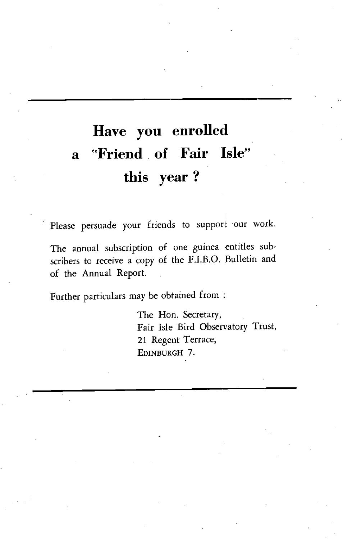## **Have you enrolled a rrFriend. of Fair Isle" this year?**

Please persuade your friends to support 'our work.

The annual subscription of one guinea entitles subscribers to receive a copy of the F.I.B.O. Bulletin and of the Annual Report.

Further particulars may be obtained from:

The Hon. Secretary, Fair Isle Bird Observatory Trust, 21 Regent Terrace, EDINBURGH 7.